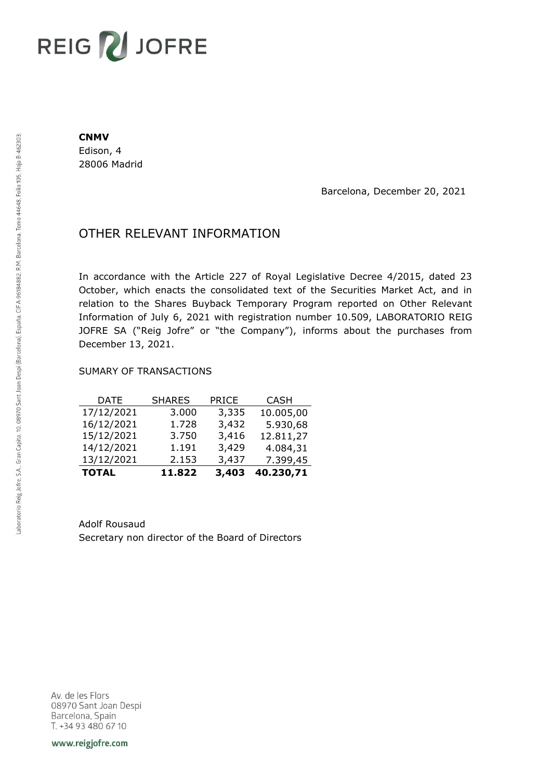# REIG V JOFRE

#### **CNMV**

Edison, 4 28006 Madrid

Barcelona, December 20, 2021

## OTHER RELEVANT INFORMATION

In accordance with the Article 227 of Royal Legislative Decree 4/2015, dated 23 October, which enacts the consolidated text of the Securities Market Act, and in relation to the Shares Buyback Temporary Program reported on Other Relevant Information of July 6, 2021 with registration number 10.509, LABORATORIO REIG JOFRE SA ("Reig Jofre" or "the Company"), informs about the purchases from December 13, 2021.

### SUMARY OF TRANSACTIONS

| <b>TOTAL</b> | 11.822        | 3,403        | 40.230,71   |
|--------------|---------------|--------------|-------------|
| 13/12/2021   | 2.153         | 3,437        | 7.399,45    |
| 14/12/2021   | 1.191         | 3,429        | 4.084,31    |
| 15/12/2021   | 3.750         | 3,416        | 12.811,27   |
| 16/12/2021   | 1.728         | 3,432        | 5.930,68    |
| 17/12/2021   | 3.000         | 3,335        | 10.005,00   |
| DATE         | <b>SHARES</b> | <b>PRICE</b> | <b>CASH</b> |

Adolf Rousaud Secretary non director of the Board of Directors

Av. de les Flors 08970 Sant Joan Despi Barcelona, Spain T. +34 93 480 67 10

www.reigjofre.com